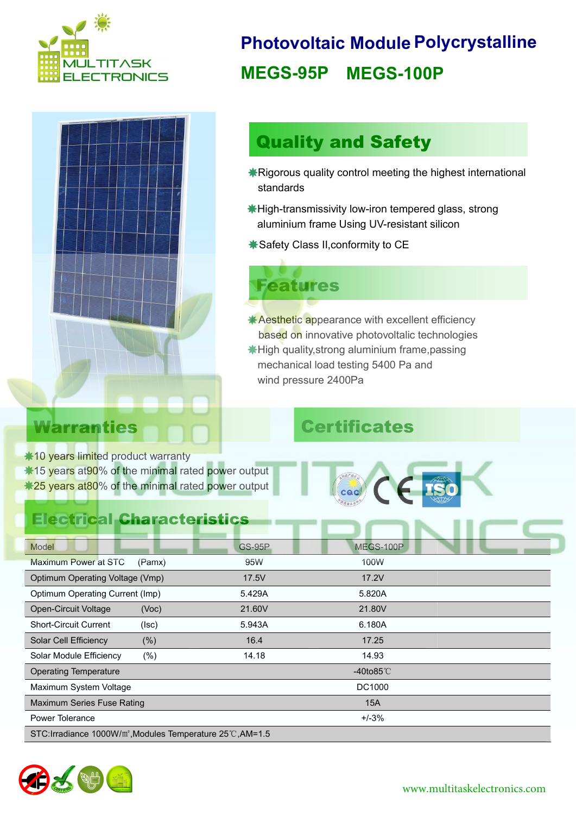



#### **Photovoltaic Module Polycrystalline MEGS-95P MEGS-100P**

## Quality and Safety

- Rigorous quality control meeting the highest international standards
- High-transmissivity low-iron tempered glass, strong aluminium frame Using UV-resistant silicon
- Safety Class II,conformity to CE

# Features

**Aesthetic appearance with excellent efficiency**  High quality,strong aluminium frame,passing mechanical load testing 5400 Pa and wind pressure 2400Pa based on innovative photovoltalic technologies

## Warranties Certificates

 $*10$  **years limited product warranty** \*15 years at 90% of the minimal rated power output \*25 years at 80% of the minimal rated power output

#### Electrical Characteristics





| Model                                                                  | <b>GS-95P</b> | MEGS-100P    |  |  |
|------------------------------------------------------------------------|---------------|--------------|--|--|
| Maximum Power at STC<br>(Pamx)                                         | 95W           | 100W         |  |  |
| Optimum Operating Voltage (Vmp)                                        | 17.5V         | 17.2V        |  |  |
| Optimum Operating Current (Imp)                                        | 5.429A        | 5.820A       |  |  |
| <b>Open-Circuit Voltage</b><br>(Voc)                                   | 21.60V        | 21.80V       |  |  |
| <b>Short-Circuit Current</b><br>(Isc)                                  | 5.943A        | 6.180A       |  |  |
| Solar Cell Efficiency<br>$(\% )$                                       | 16.4          | 17.25        |  |  |
| $(\% )$<br>Solar Module Efficiency                                     | 14.18         | 14.93        |  |  |
| <b>Operating Temperature</b>                                           |               | -40to85 $°C$ |  |  |
| Maximum System Voltage                                                 |               | DC1000       |  |  |
| Maximum Series Fuse Rating                                             |               | <b>15A</b>   |  |  |
| Power Tolerance                                                        |               | $+/-3%$      |  |  |
| STC:Irradiance 1000W/m <sup>2</sup> , Modules Temperature 25°C, AM=1.5 |               |              |  |  |